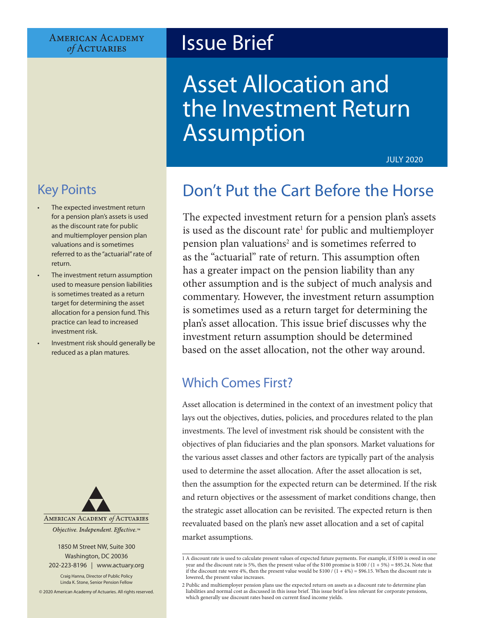#### **AMERICAN ACADEMY** of ACTUARIES

# Issue Brief

# Asset Allocation and the Investment Return Assumption

JULY 2020

## Key Points

- The expected investment return for a pension plan's assets is used as the discount rate for public and multiemployer pension plan valuations and is sometimes referred to as the "actuarial" rate of return.
- The investment return assumption used to measure pension liabilities is sometimes treated as a return target for determining the asset allocation for a pension fund. This practice can lead to increased investment risk.
- Investment risk should generally be reduced as a plan matures.



#### 1850 M Street NW, Suite 300 Washington, DC 20036 202-223-8196 | [www.actuary.org](http://actuary.org)

Craig Hanna, Director of Public Policy Linda K. Stone, Senior Pension Fellow

© 2020 American Academy of Actuaries. All rights reserved.

## Don't Put the Cart Before the Horse

The expected investment return for a pension plan's assets is used as the discount rate<sup>1</sup> for public and multiemployer pension plan valuations<sup>2</sup> and is sometimes referred to as the "actuarial" rate of return. This assumption often has a greater impact on the pension liability than any other assumption and is the subject of much analysis and commentary. However, the investment return assumption is sometimes used as a return target for determining the plan's asset allocation. This issue brief discusses why the investment return assumption should be determined based on the asset allocation, not the other way around.

## Which Comes First?

Asset allocation is determined in the context of an investment policy that lays out the objectives, duties, policies, and procedures related to the plan investments. The level of investment risk should be consistent with the objectives of plan fiduciaries and the plan sponsors. Market valuations for the various asset classes and other factors are typically part of the analysis used to determine the asset allocation. After the asset allocation is set, then the assumption for the expected return can be determined. If the risk and return objectives or the assessment of market conditions change, then the strategic asset allocation can be revisited. The expected return is then reevaluated based on the plan's new asset allocation and a set of capital market assumptions.

<sup>1</sup> A discount rate is used to calculate present values of expected future payments. For example, if \$100 is owed in one year and the discount rate is 5%, then the present value of the \$100 promise is \$100 /  $(1 + 5%) = $95.24$ . Note that if the discount rate were 4%, then the present value would be \$100  $\hat{i}$  (1 + 4%) = \$96.15. When the discount rate is lowered, the present value increases.

<sup>2</sup> Public and multiemployer pension plans use the expected return on assets as a discount rate to determine plan liabilities and normal cost as discussed in this issue brief. This issue brief is less relevant for corporate pensions, which generally use discount rates based on current fixed income yields.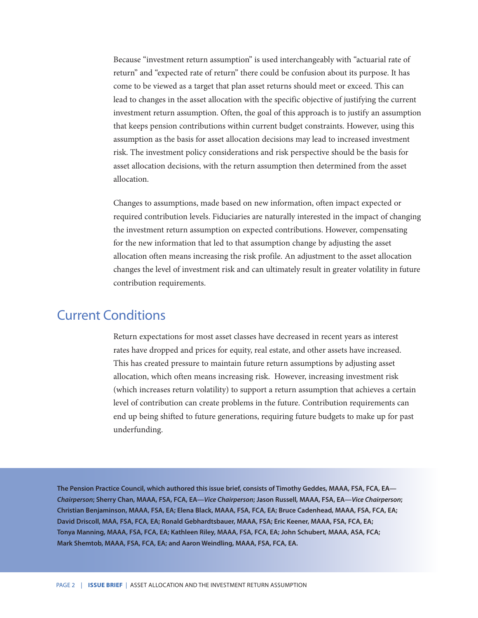Because "investment return assumption" is used interchangeably with "actuarial rate of return" and "expected rate of return" there could be confusion about its purpose. It has come to be viewed as a target that plan asset returns should meet or exceed. This can lead to changes in the asset allocation with the specific objective of justifying the current investment return assumption. Often, the goal of this approach is to justify an assumption that keeps pension contributions within current budget constraints. However, using this assumption as the basis for asset allocation decisions may lead to increased investment risk. The investment policy considerations and risk perspective should be the basis for asset allocation decisions, with the return assumption then determined from the asset allocation.

Changes to assumptions, made based on new information, often impact expected or required contribution levels. Fiduciaries are naturally interested in the impact of changing the investment return assumption on expected contributions. However, compensating for the new information that led to that assumption change by adjusting the asset allocation often means increasing the risk profile. An adjustment to the asset allocation changes the level of investment risk and can ultimately result in greater volatility in future contribution requirements.

### Current Conditions

Return expectations for most asset classes have decreased in recent years as interest rates have dropped and prices for equity, real estate, and other assets have increased. This has created pressure to maintain future return assumptions by adjusting asset allocation, which often means increasing risk. However, increasing investment risk (which increases return volatility) to support a return assumption that achieves a certain level of contribution can create problems in the future. Contribution requirements can end up being shifted to future generations, requiring future budgets to make up for past underfunding.

**The Pension Practice Council, which authored this issue brief, consists of Timothy Geddes, MAAA, FSA, FCA, EA—** *Chairperson***; Sherry Chan, MAAA, FSA, FCA, EA—***Vice Chairperson***; Jason Russell, MAAA, FSA, EA—***Vice Chairperson***; Christian Benjaminson, MAAA, FSA, EA; Elena Black, MAAA, FSA, FCA, EA; Bruce Cadenhead, MAAA, FSA, FCA, EA; David Driscoll, MAA, FSA, FCA, EA; Ronald Gebhardtsbauer, MAAA, FSA; Eric Keener, MAAA, FSA, FCA, EA; Tonya Manning, MAAA, FSA, FCA, EA; Kathleen Riley, MAAA, FSA, FCA, EA; John Schubert, MAAA, ASA, FCA; Mark Shemtob, MAAA, FSA, FCA, EA; and Aaron Weindling, MAAA, FSA, FCA, EA.**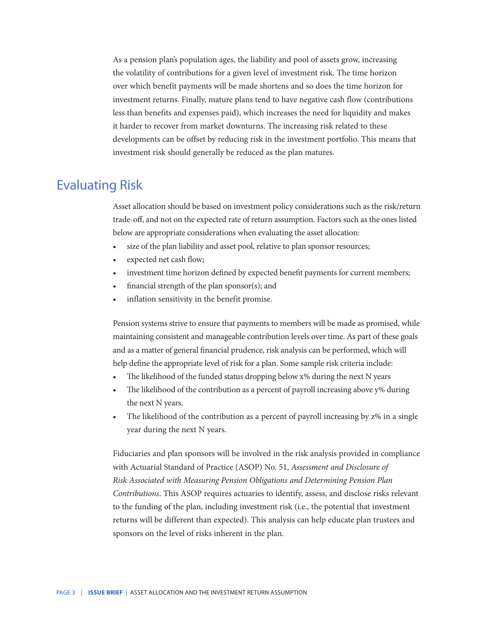As a pension plan's population ages, the liability and pool of assets grow, increasing the volatility of contributions for a given level of investment risk. The time horizon over which benefit payments will be made shortens and so does the time horizon for investment returns. Finally, mature plans tend to have negative cash flow (contributions less than benefits and expenses paid), which increases the need for liquidity and makes it harder to recover from market downturns. The increasing risk related to these developments can be offset by reducing risk in the investment portfolio. This means that investment risk should generally be reduced as the plan matures.

### Evaluating Risk

Asset allocation should be based on investment policy considerations such as the risk/return trade-off, and not on the expected rate of return assumption. Factors such as the ones listed below are appropriate considerations when evaluating the asset allocation:

- size of the plan liability and asset pool, relative to plan sponsor resources;
- expected net cash flow;
- investment time horizon defined by expected benefit payments for current members;
- financial strength of the plan sponsor $(s)$ ; and
- inflation sensitivity in the benefit promise.

Pension systems strive to ensure that payments to members will be made as promised, while maintaining consistent and manageable contribution levels over time. As part of these goals and as a matter of general financial prudence, risk analysis can be performed, which will help define the appropriate level of risk for a plan. Some sample risk criteria include:

- The likelihood of the funded status dropping below x% during the next N years
- The likelihood of the contribution as a percent of payroll increasing above y% during the next N years.
- The likelihood of the contribution as a percent of payroll increasing by  $z\%$  in a single year during the next N years.

Fiduciaries and plan sponsors will be involved in the risk analysis provided in compliance with Actuarial Standard of Practice (ASOP) No. 51, *Assessment and Disclosure of Risk Associated with Measuring Pension Obligations and Determining Pension Plan Contributions*. This ASOP requires actuaries to identify, assess, and disclose risks relevant to the funding of the plan, including investment risk (i.e., the potential that investment returns will be different than expected). This analysis can help educate plan trustees and sponsors on the level of risks inherent in the plan.